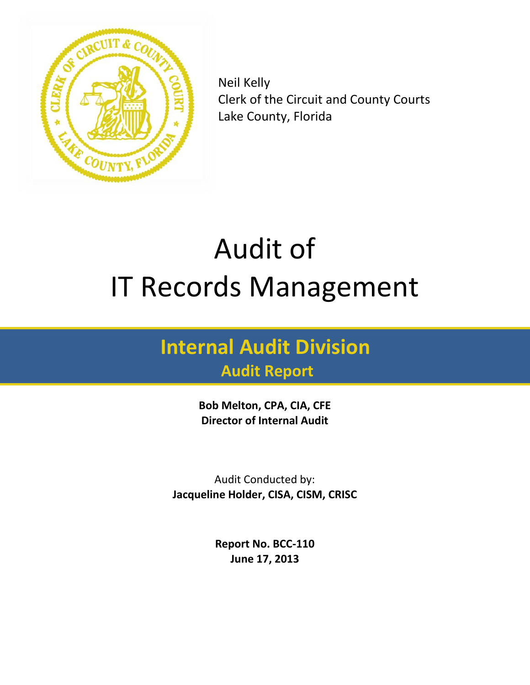

Neil Kelly Clerk of the Circuit and County Courts Lake County, Florida

# Audit of IT Records Management

## **Internal Audit Division**

### **Audit Report**

**Bob Melton, CPA, CIA, CFE Director of Internal Audit** 

Audit Conducted by: **Jacqueline Holder, CISA, CISM, CRISC**

> **Report No. BCC-110 June 17, 2013**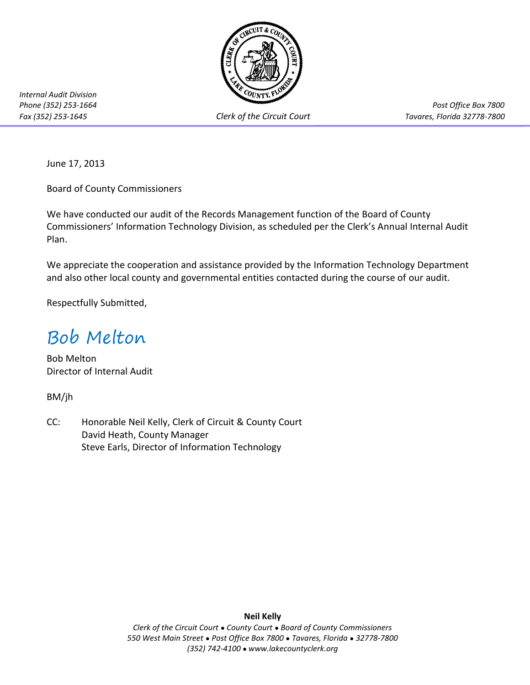

*Internal Audit Division* 

*Fax (352) 253-1645 Clerk of the Circuit Court Tavares, Florida 32778-7800*

*Phone (352) 253-1664 Post Office Box 7800*

June 17, 2013

Board of County Commissioners

We have conducted our audit of the Records Management function of the Board of County Commissioners' Information Technology Division, as scheduled per the Clerk's Annual Internal Audit Plan.

We appreciate the cooperation and assistance provided by the Information Technology Department and also other local county and governmental entities contacted during the course of our audit.

Respectfully Submitted,

### Bob Melton

Bob Melton Director of Internal Audit

BM/jh

CC: Honorable Neil Kelly, Clerk of Circuit & County Court David Heath, County Manager Steve Earls, Director of Information Technology

**Neil Kelly**

*Clerk of the Circuit Court* ● *County Court* ● *Board of County Commissioners 550 West Main Street* ● *Post Office Box 7800* ● *Tavares, Florida* ● *32778-7800 (352) 742-4100* ● *www.lakecountyclerk.org*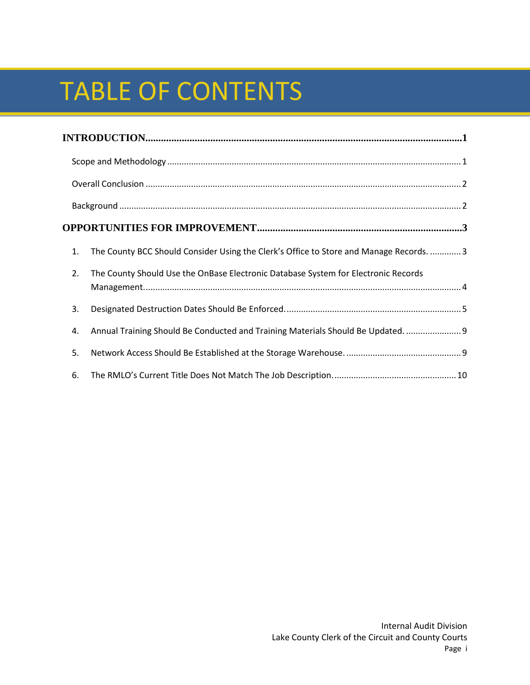# TABLE OF CONTENTS

| INTRODUCTION 1.1 |                                                                                         |  |  |
|------------------|-----------------------------------------------------------------------------------------|--|--|
|                  |                                                                                         |  |  |
|                  |                                                                                         |  |  |
|                  |                                                                                         |  |  |
|                  |                                                                                         |  |  |
| 1.               | The County BCC Should Consider Using the Clerk's Office to Store and Manage Records.  3 |  |  |
| 2.               | The County Should Use the OnBase Electronic Database System for Electronic Records      |  |  |
| 3.               |                                                                                         |  |  |
| 4.               | Annual Training Should Be Conducted and Training Materials Should Be Updated.  9        |  |  |
| 5.               |                                                                                         |  |  |
| 6.               |                                                                                         |  |  |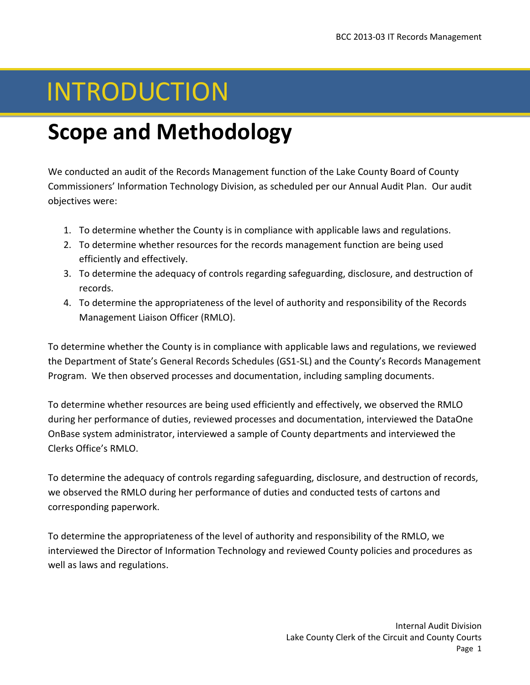## INTRODUCTION

### <span id="page-3-0"></span>**Scope and Methodology**

We conducted an audit of the Records Management function of the Lake County Board of County Commissioners' Information Technology Division, as scheduled per our Annual Audit Plan. Our audit objectives were:

- 1. To determine whether the County is in compliance with applicable laws and regulations.
- 2. To determine whether resources for the records management function are being used efficiently and effectively.
- 3. To determine the adequacy of controls regarding safeguarding, disclosure, and destruction of records.
- 4. To determine the appropriateness of the level of authority and responsibility of the Records Management Liaison Officer (RMLO).

To determine whether the County is in compliance with applicable laws and regulations, we reviewed the Department of State's General Records Schedules (GS1-SL) and the County's Records Management Program. We then observed processes and documentation, including sampling documents.

To determine whether resources are being used efficiently and effectively, we observed the RMLO during her performance of duties, reviewed processes and documentation, interviewed the DataOne OnBase system administrator, interviewed a sample of County departments and interviewed the Clerks Office's RMLO.

To determine the adequacy of controls regarding safeguarding, disclosure, and destruction of records, we observed the RMLO during her performance of duties and conducted tests of cartons and corresponding paperwork.

To determine the appropriateness of the level of authority and responsibility of the RMLO, we interviewed the Director of Information Technology and reviewed County policies and procedures as well as laws and regulations.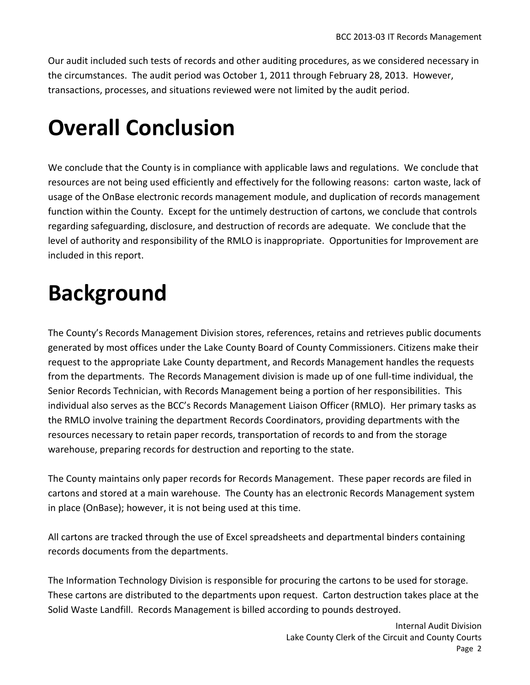Our audit included such tests of records and other auditing procedures, as we considered necessary in the circumstances. The audit period was October 1, 2011 through February 28, 2013. However, transactions, processes, and situations reviewed were not limited by the audit period.

## <span id="page-4-0"></span>**Overall Conclusion**

We conclude that the County is in compliance with applicable laws and regulations. We conclude that resources are not being used efficiently and effectively for the following reasons: carton waste, lack of usage of the OnBase electronic records management module, and duplication of records management function within the County. Except for the untimely destruction of cartons, we conclude that controls regarding safeguarding, disclosure, and destruction of records are adequate. We conclude that the level of authority and responsibility of the RMLO is inappropriate. Opportunities for Improvement are included in this report.

### <span id="page-4-1"></span>**Background**

The County's Records Management Division stores, references, retains and retrieves public documents generated by most offices under the Lake County Board of County Commissioners. Citizens make their request to the appropriate Lake County department, and Records Management handles the requests from the departments. The Records Management division is made up of one full-time individual, the Senior Records Technician, with Records Management being a portion of her responsibilities. This individual also serves as the BCC's Records Management Liaison Officer (RMLO). Her primary tasks as the RMLO involve training the department Records Coordinators, providing departments with the resources necessary to retain paper records, transportation of records to and from the storage warehouse, preparing records for destruction and reporting to the state.

The County maintains only paper records for Records Management. These paper records are filed in cartons and stored at a main warehouse. The County has an electronic Records Management system in place (OnBase); however, it is not being used at this time.

All cartons are tracked through the use of Excel spreadsheets and departmental binders containing records documents from the departments.

The Information Technology Division is responsible for procuring the cartons to be used for storage. These cartons are distributed to the departments upon request. Carton destruction takes place at the Solid Waste Landfill. Records Management is billed according to pounds destroyed.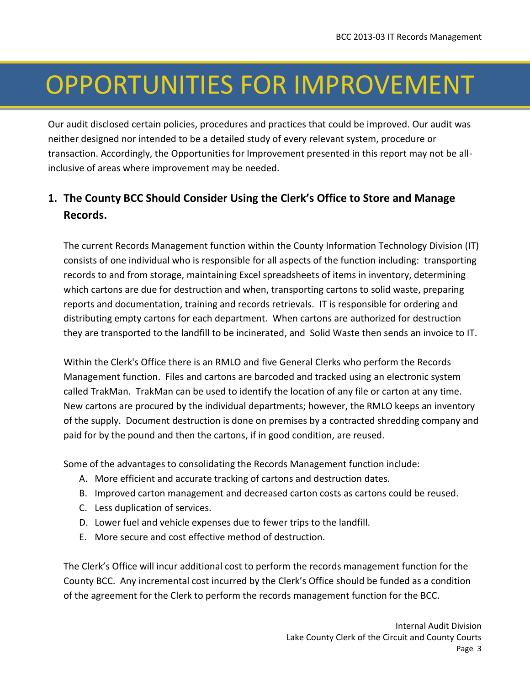## OPPORTUNITIES FOR IMPROVEMENT

Our audit disclosed certain policies, procedures and practices that could be improved. Our audit was neither designed nor intended to be a detailed study of every relevant system, procedure or transaction. Accordingly, the Opportunities for Improvement presented in this report may not be allinclusive of areas where improvement may be needed.

### <span id="page-5-0"></span>**1. The County BCC Should Consider Using the Clerk's Office to Store and Manage Records.**

The current Records Management function within the County Information Technology Division (IT) consists of one individual who is responsible for all aspects of the function including: transporting records to and from storage, maintaining Excel spreadsheets of items in inventory, determining which cartons are due for destruction and when, transporting cartons to solid waste, preparing reports and documentation, training and records retrievals. IT is responsible for ordering and distributing empty cartons for each department. When cartons are authorized for destruction they are transported to the landfill to be incinerated, and Solid Waste then sends an invoice to IT.

Within the Clerk's Office there is an RMLO and five General Clerks who perform the Records Management function. Files and cartons are barcoded and tracked using an electronic system called TrakMan. TrakMan can be used to identify the location of any file or carton at any time. New cartons are procured by the individual departments; however, the RMLO keeps an inventory of the supply. Document destruction is done on premises by a contracted shredding company and paid for by the pound and then the cartons, if in good condition, are reused.

Some of the advantages to consolidating the Records Management function include:

- A. More efficient and accurate tracking of cartons and destruction dates.
- B. Improved carton management and decreased carton costs as cartons could be reused.
- C. Less duplication of services.
- D. Lower fuel and vehicle expenses due to fewer trips to the landfill.
- E. More secure and cost effective method of destruction.

The Clerk's Office will incur additional cost to perform the records management function for the County BCC. Any incremental cost incurred by the Clerk's Office should be funded as a condition of the agreement for the Clerk to perform the records management function for the BCC.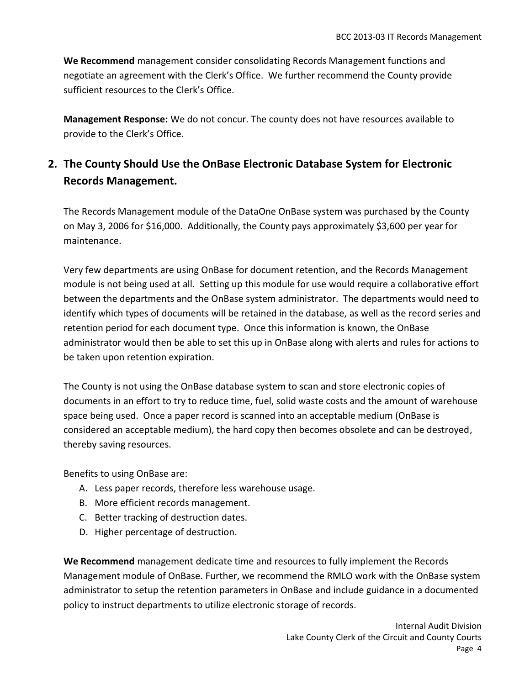**We Recommend** management consider consolidating Records Management functions and negotiate an agreement with the Clerk's Office. We further recommend the County provide sufficient resources to the Clerk's Office.

**Management Response:** We do not concur. The county does not have resources available to provide to the Clerk's Office.

### <span id="page-6-0"></span>**2. The County Should Use the OnBase Electronic Database System for Electronic Records Management.**

The Records Management module of the DataOne OnBase system was purchased by the County on May 3, 2006 for \$16,000. Additionally, the County pays approximately \$3,600 per year for maintenance.

Very few departments are using OnBase for document retention, and the Records Management module is not being used at all. Setting up this module for use would require a collaborative effort between the departments and the OnBase system administrator. The departments would need to identify which types of documents will be retained in the database, as well as the record series and retention period for each document type. Once this information is known, the OnBase administrator would then be able to set this up in OnBase along with alerts and rules for actions to be taken upon retention expiration.

The County is not using the OnBase database system to scan and store electronic copies of documents in an effort to try to reduce time, fuel, solid waste costs and the amount of warehouse space being used. Once a paper record is scanned into an acceptable medium (OnBase is considered an acceptable medium), the hard copy then becomes obsolete and can be destroyed, thereby saving resources.

Benefits to using OnBase are:

- A. Less paper records, therefore less warehouse usage.
- B. More efficient records management.
- C. Better tracking of destruction dates.
- D. Higher percentage of destruction.

**We Recommend** management dedicate time and resources to fully implement the Records Management module of OnBase. Further, we recommend the RMLO work with the OnBase system administrator to setup the retention parameters in OnBase and include guidance in a documented policy to instruct departments to utilize electronic storage of records.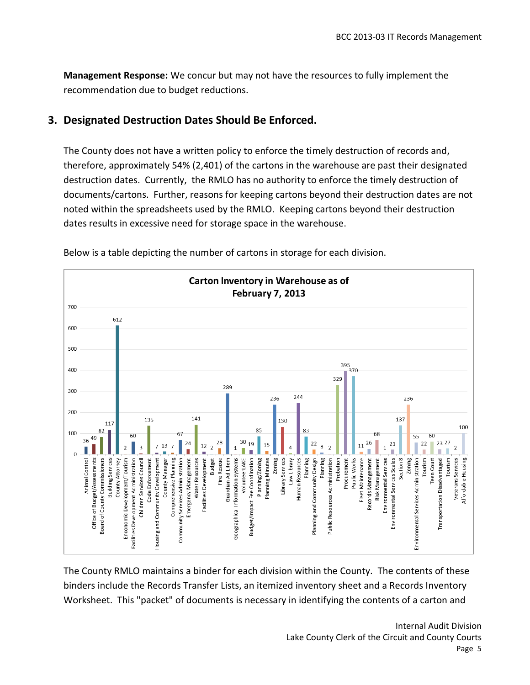**Management Response:** We concur but may not have the resources to fully implement the recommendation due to budget reductions.

### <span id="page-7-0"></span>**3. Designated Destruction Dates Should Be Enforced.**

The County does not have a written policy to enforce the timely destruction of records and, therefore, approximately 54% (2,401) of the cartons in the warehouse are past their designated destruction dates. Currently, the RMLO has no authority to enforce the timely destruction of documents/cartons. Further, reasons for keeping cartons beyond their destruction dates are not noted within the spreadsheets used by the RMLO. Keeping cartons beyond their destruction dates results in excessive need for storage space in the warehouse.



Below is a table depicting the number of cartons in storage for each division.

The County RMLO maintains a binder for each division within the County. The contents of these binders include the Records Transfer Lists, an itemized inventory sheet and a Records Inventory Worksheet. This "packet" of documents is necessary in identifying the contents of a carton and

> Internal Audit Division Lake County Clerk of the Circuit and County Courts Page 5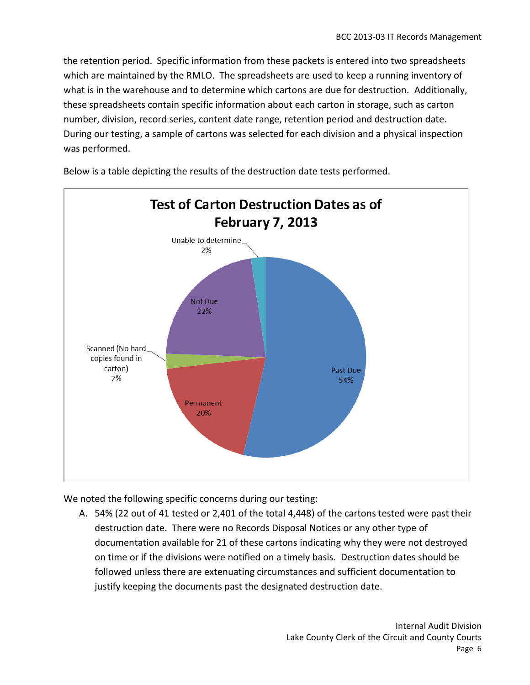the retention period. Specific information from these packets is entered into two spreadsheets which are maintained by the RMLO. The spreadsheets are used to keep a running inventory of what is in the warehouse and to determine which cartons are due for destruction. Additionally, these spreadsheets contain specific information about each carton in storage, such as carton number, division, record series, content date range, retention period and destruction date. During our testing, a sample of cartons was selected for each division and a physical inspection was performed.



Below is a table depicting the results of the destruction date tests performed.

We noted the following specific concerns during our testing:

A. 54% (22 out of 41 tested or 2,401 of the total 4,448) of the cartons tested were past their destruction date. There were no Records Disposal Notices or any other type of documentation available for 21 of these cartons indicating why they were not destroyed on time or if the divisions were notified on a timely basis. Destruction dates should be followed unless there are extenuating circumstances and sufficient documentation to justify keeping the documents past the designated destruction date.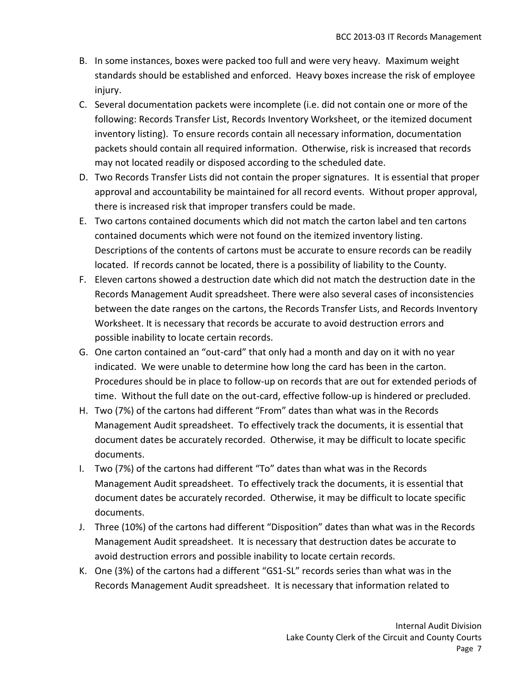- B. In some instances, boxes were packed too full and were very heavy. Maximum weight standards should be established and enforced. Heavy boxes increase the risk of employee injury.
- C. Several documentation packets were incomplete (i.e. did not contain one or more of the following: Records Transfer List, Records Inventory Worksheet, or the itemized document inventory listing). To ensure records contain all necessary information, documentation packets should contain all required information. Otherwise, risk is increased that records may not located readily or disposed according to the scheduled date.
- D. Two Records Transfer Lists did not contain the proper signatures. It is essential that proper approval and accountability be maintained for all record events. Without proper approval, there is increased risk that improper transfers could be made.
- E. Two cartons contained documents which did not match the carton label and ten cartons contained documents which were not found on the itemized inventory listing. Descriptions of the contents of cartons must be accurate to ensure records can be readily located. If records cannot be located, there is a possibility of liability to the County.
- F. Eleven cartons showed a destruction date which did not match the destruction date in the Records Management Audit spreadsheet. There were also several cases of inconsistencies between the date ranges on the cartons, the Records Transfer Lists, and Records Inventory Worksheet. It is necessary that records be accurate to avoid destruction errors and possible inability to locate certain records.
- G. One carton contained an "out-card" that only had a month and day on it with no year indicated. We were unable to determine how long the card has been in the carton. Procedures should be in place to follow-up on records that are out for extended periods of time. Without the full date on the out-card, effective follow-up is hindered or precluded.
- H. Two (7%) of the cartons had different "From" dates than what was in the Records Management Audit spreadsheet. To effectively track the documents, it is essential that document dates be accurately recorded. Otherwise, it may be difficult to locate specific documents.
- I. Two (7%) of the cartons had different "To" dates than what was in the Records Management Audit spreadsheet. To effectively track the documents, it is essential that document dates be accurately recorded. Otherwise, it may be difficult to locate specific documents.
- J. Three (10%) of the cartons had different "Disposition" dates than what was in the Records Management Audit spreadsheet. It is necessary that destruction dates be accurate to avoid destruction errors and possible inability to locate certain records.
- K. One (3%) of the cartons had a different "GS1-SL" records series than what was in the Records Management Audit spreadsheet. It is necessary that information related to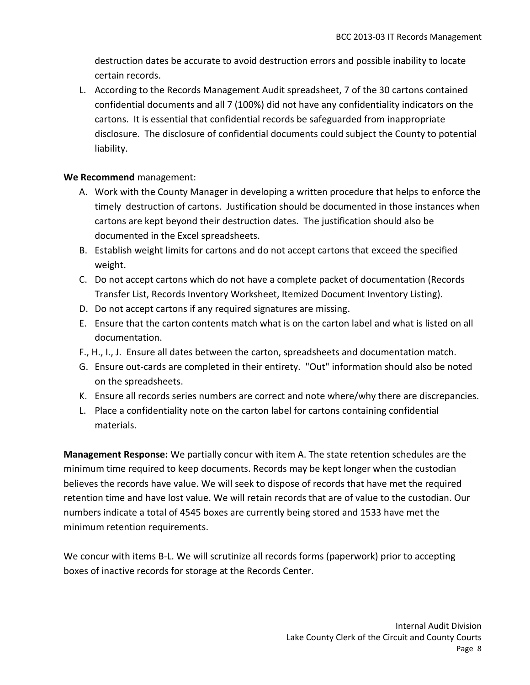destruction dates be accurate to avoid destruction errors and possible inability to locate certain records.

L. According to the Records Management Audit spreadsheet, 7 of the 30 cartons contained confidential documents and all 7 (100%) did not have any confidentiality indicators on the cartons. It is essential that confidential records be safeguarded from inappropriate disclosure. The disclosure of confidential documents could subject the County to potential liability.

#### **We Recommend** management:

- A. Work with the County Manager in developing a written procedure that helps to enforce the timely destruction of cartons. Justification should be documented in those instances when cartons are kept beyond their destruction dates. The justification should also be documented in the Excel spreadsheets.
- B. Establish weight limits for cartons and do not accept cartons that exceed the specified weight.
- C. Do not accept cartons which do not have a complete packet of documentation (Records Transfer List, Records Inventory Worksheet, Itemized Document Inventory Listing).
- D. Do not accept cartons if any required signatures are missing.
- E. Ensure that the carton contents match what is on the carton label and what is listed on all documentation.
- F., H., I., J. Ensure all dates between the carton, spreadsheets and documentation match.
- G. Ensure out-cards are completed in their entirety. "Out" information should also be noted on the spreadsheets.
- K. Ensure all records series numbers are correct and note where/why there are discrepancies.
- L. Place a confidentiality note on the carton label for cartons containing confidential materials.

**Management Response:** We partially concur with item A. The state retention schedules are the minimum time required to keep documents. Records may be kept longer when the custodian believes the records have value. We will seek to dispose of records that have met the required retention time and have lost value. We will retain records that are of value to the custodian. Our numbers indicate a total of 4545 boxes are currently being stored and 1533 have met the minimum retention requirements.

We concur with items B-L. We will scrutinize all records forms (paperwork) prior to accepting boxes of inactive records for storage at the Records Center.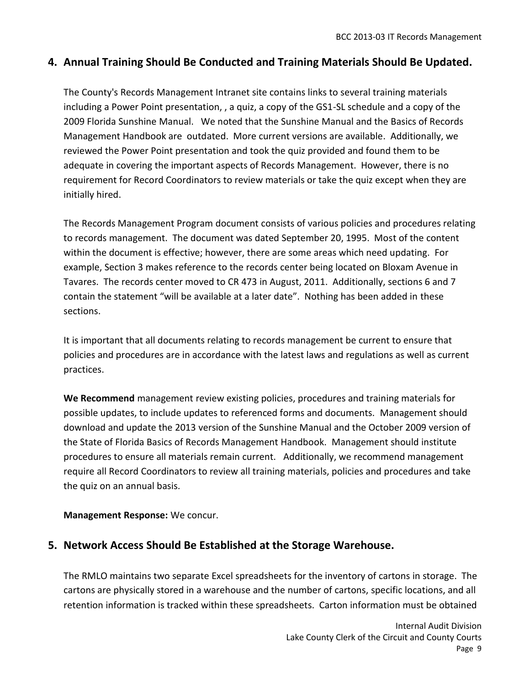#### <span id="page-11-0"></span>**4. Annual Training Should Be Conducted and Training Materials Should Be Updated.**

The County's Records Management Intranet site contains links to several training materials including a Power Point presentation, , a quiz, a copy of the GS1-SL schedule and a copy of the 2009 Florida Sunshine Manual. We noted that the Sunshine Manual and the Basics of Records Management Handbook are outdated. More current versions are available. Additionally, we reviewed the Power Point presentation and took the quiz provided and found them to be adequate in covering the important aspects of Records Management. However, there is no requirement for Record Coordinators to review materials or take the quiz except when they are initially hired.

The Records Management Program document consists of various policies and procedures relating to records management. The document was dated September 20, 1995. Most of the content within the document is effective; however, there are some areas which need updating. For example, Section 3 makes reference to the records center being located on Bloxam Avenue in Tavares. The records center moved to CR 473 in August, 2011. Additionally, sections 6 and 7 contain the statement "will be available at a later date". Nothing has been added in these sections.

It is important that all documents relating to records management be current to ensure that policies and procedures are in accordance with the latest laws and regulations as well as current practices.

**We Recommend** management review existing policies, procedures and training materials for possible updates, to include updates to referenced forms and documents. Management should download and update the 2013 version of the Sunshine Manual and the October 2009 version of the State of Florida Basics of Records Management Handbook. Management should institute procedures to ensure all materials remain current. Additionally, we recommend management require all Record Coordinators to review all training materials, policies and procedures and take the quiz on an annual basis.

**Management Response:** We concur.

#### <span id="page-11-1"></span>**5. Network Access Should Be Established at the Storage Warehouse.**

The RMLO maintains two separate Excel spreadsheets for the inventory of cartons in storage. The cartons are physically stored in a warehouse and the number of cartons, specific locations, and all retention information is tracked within these spreadsheets. Carton information must be obtained